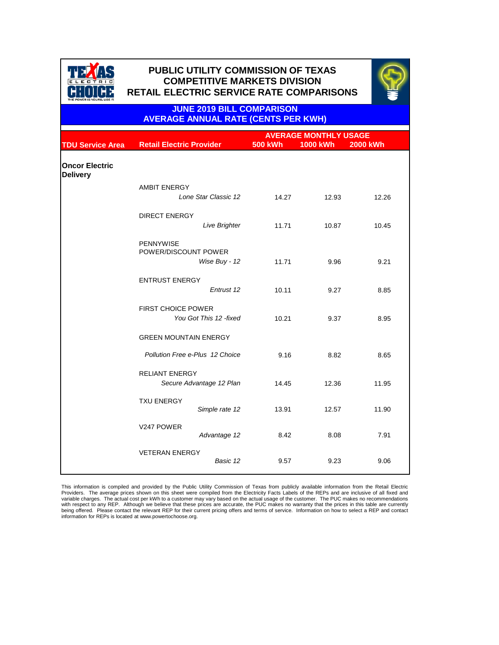|                                          |                                             | <b>AVERAGE MONTHLY USAGE</b> |                 |                 |
|------------------------------------------|---------------------------------------------|------------------------------|-----------------|-----------------|
| <b>TDU Service Area</b>                  | <b>Retail Electric Provider</b>             | <b>500 kWh</b>               | <b>1000 kWh</b> | <b>2000 kWh</b> |
| <b>Oncor Electric</b><br><b>Delivery</b> |                                             |                              |                 |                 |
|                                          | <b>AMBIT ENERGY</b><br>Lone Star Classic 12 | 14.27                        | 12.93           | 12.26           |
|                                          |                                             |                              |                 |                 |
|                                          | <b>DIRECT ENERGY</b>                        |                              |                 |                 |
|                                          | Live Brighter                               | 11.71                        | 10.87           | 10.45           |
|                                          | <b>PENNYWISE</b><br>POWER/DISCOUNT POWER    |                              |                 |                 |
|                                          | Wise Buy - 12                               | 11.71                        | 9.96            | 9.21            |
|                                          | <b>ENTRUST ENERGY</b>                       |                              |                 |                 |
|                                          | Entrust 12                                  | 10.11                        | 9.27            | 8.85            |
|                                          | <b>FIRST CHOICE POWER</b>                   |                              |                 |                 |
|                                          | You Got This 12 -fixed                      | 10.21                        | 9.37            | 8.95            |
|                                          | <b>GREEN MOUNTAIN ENERGY</b>                |                              |                 |                 |
|                                          | <b>Pollution Free e-Plus 12 Choice</b>      | 9.16                         | 8.82            | 8.65            |
|                                          | <b>RELIANT ENERGY</b>                       |                              |                 |                 |
|                                          | Secure Advantage 12 Plan                    | 14.45                        | 12.36           | 11.95           |
|                                          | <b>TXU ENERGY</b>                           |                              |                 |                 |
|                                          | Simple rate 12                              | 13.91                        | 12.57           | 11.90           |
|                                          |                                             |                              |                 |                 |

| V247 POWER            | Advantage 12 | 8.42 | 8.08 | 7.91 |
|-----------------------|--------------|------|------|------|
| <b>VETERAN ENERGY</b> | Basic 12     | 9.57 | 9.23 | 9.06 |



# **PUBLIC UTILITY COMMISSION OF TEXAS PUBLIC UTILITY COMMISSION OF TEXAS COMPETITIVE MARKETS DIVISION COMPETITIVE MARKETS DIVISION RETAIL ELECTRIC SERVICE RATE COMPARISONS RETAIL ELECTRIC SERVICE RATE COMPARISONS**



. This information is compiled and provided by the Public Utility Commission of Texas from publicly available information from the Retail Electric Providers. The average prices shown on this sheet were compiled from the Electricity Facts Labels of the REPs and are inclusive of all fixed and variable charges. The actual cost per kWh to a customer may vary based on the actual usage of the customer. The PUC makes no recommendations with respect to any REP. Although we believe that these prices are accurate, the PUC makes no warranty that the prices in this table are currently being offered. Please contact the relevant REP for their current pricing offers and terms of service. Information on how to select a REP and contact information for REPs is located at www.powertochoose.org.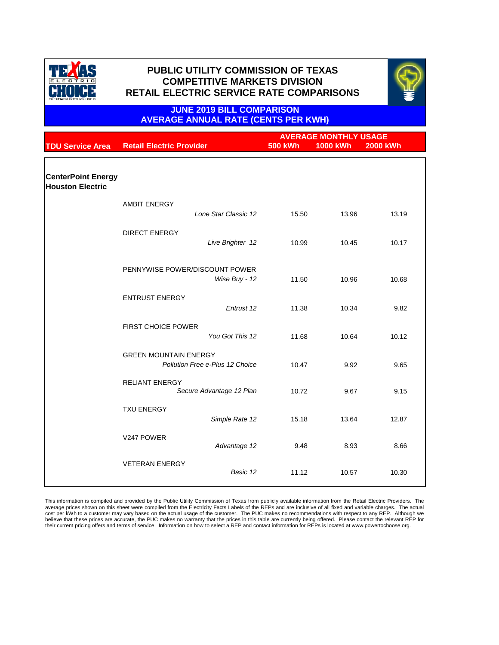|                                                      |                                                                        |                | <b>AVERAGE MONTHLY USAGE</b> |                 |  |
|------------------------------------------------------|------------------------------------------------------------------------|----------------|------------------------------|-----------------|--|
| <b>TDU Service Area</b>                              | <b>Retail Electric Provider</b>                                        | <b>500 kWh</b> | <b>1000 kWh</b>              | <b>2000 kWh</b> |  |
|                                                      |                                                                        |                |                              |                 |  |
| <b>CenterPoint Energy</b><br><b>Houston Electric</b> |                                                                        |                |                              |                 |  |
|                                                      | <b>AMBIT ENERGY</b>                                                    |                |                              |                 |  |
|                                                      | Lone Star Classic 12                                                   | 15.50          | 13.96                        | 13.19           |  |
|                                                      | <b>DIRECT ENERGY</b>                                                   |                |                              |                 |  |
|                                                      | Live Brighter 12                                                       | 10.99          | 10.45                        | 10.17           |  |
|                                                      |                                                                        |                |                              |                 |  |
|                                                      | PENNYWISE POWER/DISCOUNT POWER                                         |                |                              |                 |  |
|                                                      | Wise Buy - 12                                                          | 11.50          | 10.96                        | 10.68           |  |
|                                                      | <b>ENTRUST ENERGY</b>                                                  |                |                              |                 |  |
|                                                      | Entrust 12                                                             | 11.38          | 10.34                        | 9.82            |  |
|                                                      | <b>FIRST CHOICE POWER</b>                                              |                |                              |                 |  |
|                                                      | You Got This 12                                                        | 11.68          | 10.64                        | 10.12           |  |
|                                                      |                                                                        |                |                              |                 |  |
|                                                      | <b>GREEN MOUNTAIN ENERGY</b><br><b>Pollution Free e-Plus 12 Choice</b> | 10.47          | 9.92                         | 9.65            |  |
|                                                      |                                                                        |                |                              |                 |  |
|                                                      | <b>RELIANT ENERGY</b><br>Secure Advantage 12 Plan                      | 10.72          | 9.67                         | 9.15            |  |
|                                                      |                                                                        |                |                              |                 |  |
|                                                      | <b>TXU ENERGY</b>                                                      |                |                              |                 |  |
|                                                      | Simple Rate 12                                                         | 15.18          | 13.64                        | 12.87           |  |

| V247 POWER            | Advantage 12 | 9.48  | 8.93  | 8.66  |
|-----------------------|--------------|-------|-------|-------|
| <b>VETERAN ENERGY</b> | Basic 12     | 11.12 | 10.57 | 10.30 |

This information is compiled and provided by the Public Utility Commission of Texas from publicly available information from the Retail Electric Providers. The average prices shown on this sheet were compiled from the Electricity Facts Labels of the REPs and are inclusive of all fixed and variable charges. The actual cost per kWh to a customer may vary based on the actual usage of the customer. The PUC makes no recommendations with respect to any REP. Although we believe that these prices are accurate, the PUC makes no warranty that the prices in this table are currently being offered. Please contact the relevant REP for their current pricing offers and terms of service. Information on how to select a REP and contact information for REPs is located at www.powertochoose.org.



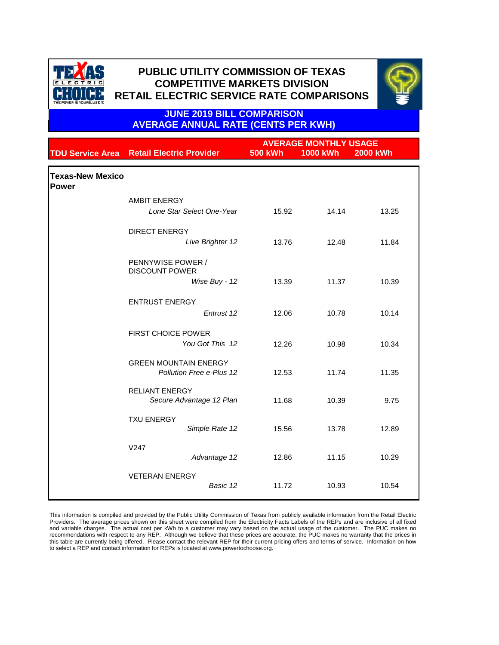|                                         |                                                                 | <b>AVERAGE MONTHLY USAGE</b> |                 |                 |  |
|-----------------------------------------|-----------------------------------------------------------------|------------------------------|-----------------|-----------------|--|
|                                         | <b>TDU Service Area</b> Retail Electric Provider                | <b>500 kWh</b>               | <b>1000 kWh</b> | <b>2000 kWh</b> |  |
| <b>Texas-New Mexico</b><br><b>Power</b> |                                                                 |                              |                 |                 |  |
|                                         | <b>AMBIT ENERGY</b>                                             |                              |                 |                 |  |
|                                         | Lone Star Select One-Year                                       | 15.92                        | 14.14           | 13.25           |  |
|                                         | <b>DIRECT ENERGY</b>                                            |                              |                 |                 |  |
|                                         | Live Brighter 12                                                | 13.76                        | 12.48           | 11.84           |  |
|                                         | <b>PENNYWISE POWER /</b><br><b>DISCOUNT POWER</b>               |                              |                 |                 |  |
|                                         | Wise Buy - 12                                                   | 13.39                        | 11.37           | 10.39           |  |
|                                         | <b>ENTRUST ENERGY</b>                                           |                              |                 |                 |  |
|                                         | Entrust 12                                                      | 12.06                        | 10.78           | 10.14           |  |
|                                         | <b>FIRST CHOICE POWER</b><br>You Got This 12                    | 12.26                        | 10.98           | 10.34           |  |
|                                         | <b>GREEN MOUNTAIN ENERGY</b><br><b>Pollution Free e-Plus 12</b> | 12.53                        | 11.74           | 11.35           |  |
|                                         | <b>RELIANT ENERGY</b><br>Secure Advantage 12 Plan               | 11.68                        | 10.39           | 9.75            |  |
|                                         | <b>TXU ENERGY</b><br>Simple Rate 12                             | 15.56                        | 13.78           | 12.89           |  |
|                                         | V247<br>Advantage 12                                            | 12.86                        | 11.15           | 10.29           |  |

| <b>VETERAN ENERGY</b> |          |       |       |       |
|-----------------------|----------|-------|-------|-------|
|                       | Basic 12 | 11.72 | 10.93 | 10.54 |
|                       |          |       |       |       |

This information is compiled and provided by the Public Utility Commission of Texas from publicly available information from the Retail Electric Providers. The average prices shown on this sheet were compiled from the Electricity Facts Labels of the REPs and are inclusive of all fixed and variable charges. The actual cost per kWh to a customer may vary based on the actual usage of the customer. The PUC makes no recommendations with respect to any REP. Although we believe that these prices are accurate, the PUC makes no warranty that the prices in this table are currently being offered. Please contact the relevant REP for their current pricing offers and terms of service. Information on how to select a REP and contact information for REPs is located at www.powertochoose.org.



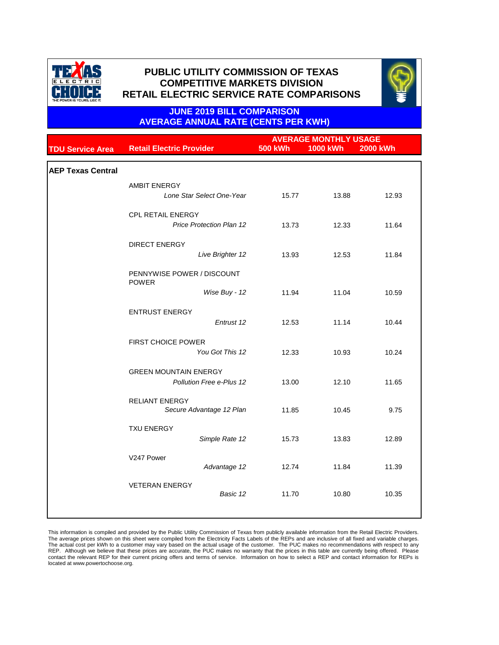|                          |                                            | <b>AVERAGE MONTHLY USAGE</b> |                 |                 |
|--------------------------|--------------------------------------------|------------------------------|-----------------|-----------------|
| <b>TDU Service Area</b>  | <b>Retail Electric Provider</b>            | <b>500 kWh</b>               | <b>1000 kWh</b> | <b>2000 kWh</b> |
|                          |                                            |                              |                 |                 |
| <b>AEP Texas Central</b> |                                            |                              |                 |                 |
|                          | <b>AMBIT ENERGY</b>                        |                              |                 |                 |
|                          | Lone Star Select One-Year                  | 15.77                        | 13.88           | 12.93           |
|                          | <b>CPL RETAIL ENERGY</b>                   |                              |                 |                 |
|                          | <b>Price Protection Plan 12</b>            | 13.73                        | 12.33           | 11.64           |
|                          | <b>DIRECT ENERGY</b>                       |                              |                 |                 |
|                          | Live Brighter 12                           | 13.93                        | 12.53           | 11.84           |
|                          | PENNYWISE POWER / DISCOUNT<br><b>POWER</b> |                              |                 |                 |
|                          | Wise Buy - 12                              | 11.94                        | 11.04           | 10.59           |
|                          | <b>ENTRUST ENERGY</b>                      |                              |                 |                 |
|                          | Entrust 12                                 | 12.53                        | 11.14           | 10.44           |
|                          | <b>FIRST CHOICE POWER</b>                  |                              |                 |                 |
|                          | You Got This 12                            | 12.33                        | 10.93           | 10.24           |
|                          | <b>GREEN MOUNTAIN ENERGY</b>               |                              |                 |                 |
|                          | <b>Pollution Free e-Plus 12</b>            | 13.00                        | 12.10           | 11.65           |
|                          | <b>RELIANT ENERGY</b>                      |                              |                 |                 |
|                          | Secure Advantage 12 Plan                   | 11.85                        | 10.45           | 9.75            |
|                          | <b>TXU ENERGY</b>                          |                              |                 |                 |
|                          | Simple Rate 12                             | 15.73                        | 13.83           | 12.89           |
|                          | V247 Power                                 |                              |                 |                 |
|                          | Advantage 12                               | 12.74                        | 11.84           | 11.39           |
|                          | <b>VETERAN ENERGY</b>                      |                              |                 |                 |
|                          | Basic 12                                   | 11.70                        | 10.80           | 10.35           |
|                          |                                            |                              |                 |                 |

This information is compiled and provided by the Public Utility Commission of Texas from publicly available information from the Retail Electric Providers. The average prices shown on this sheet were compiled from the Electricity Facts Labels of the REPs and are inclusive of all fixed and variable charges. The actual cost per kWh to a customer may vary based on the actual usage of the customer. The PUC makes no recommendations with respect to any REP. Although we believe that these prices are accurate, the PUC makes no warranty that the prices in this table are currently being offered. Please contact the relevant REP for their current pricing offers and terms of service. Information on how to select a REP and contact information for REPs is located at www.powertochoose.org.